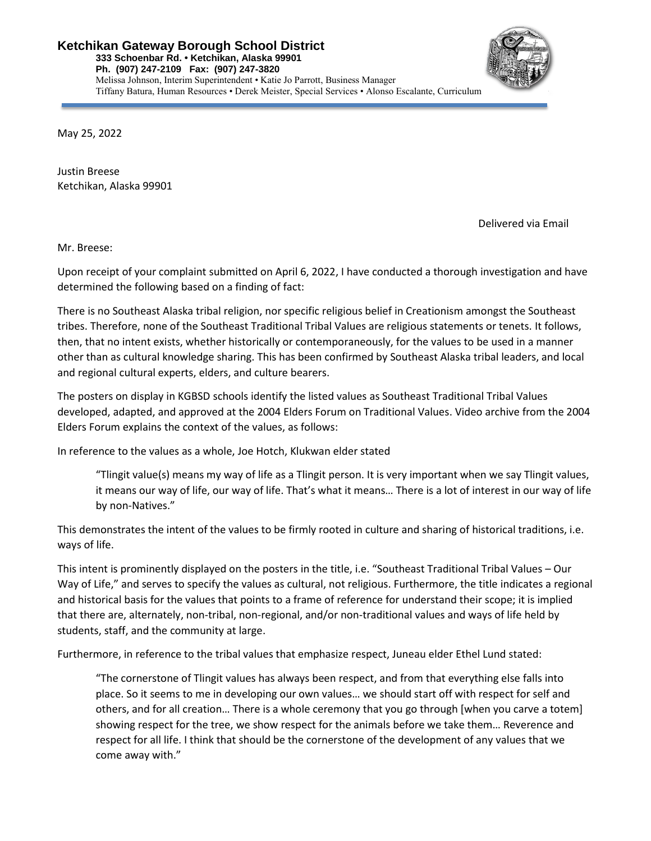

May 25, 2022

Justin Breese Ketchikan, Alaska 99901

Delivered via Email

Mr. Breese:

Upon receipt of your complaint submitted on April 6, 2022, I have conducted a thorough investigation and have determined the following based on a finding of fact:

There is no Southeast Alaska tribal religion, nor specific religious belief in Creationism amongst the Southeast tribes. Therefore, none of the Southeast Traditional Tribal Values are religious statements or tenets. It follows, then, that no intent exists, whether historically or contemporaneously, for the values to be used in a manner other than as cultural knowledge sharing. This has been confirmed by Southeast Alaska tribal leaders, and local and regional cultural experts, elders, and culture bearers.

The posters on display in KGBSD schools identify the listed values as Southeast Traditional Tribal Values developed, adapted, and approved at the 2004 Elders Forum on Traditional Values. Video archive from the 2004 Elders Forum explains the context of the values, as follows:

In reference to the values as a whole, Joe Hotch, Klukwan elder stated

"Tlingit value(s) means my way of life as a Tlingit person. It is very important when we say Tlingit values, it means our way of life, our way of life. That's what it means… There is a lot of interest in our way of life by non-Natives."

This demonstrates the intent of the values to be firmly rooted in culture and sharing of historical traditions, i.e. ways of life.

This intent is prominently displayed on the posters in the title, i.e. "Southeast Traditional Tribal Values – Our Way of Life," and serves to specify the values as cultural, not religious. Furthermore, the title indicates a regional and historical basis for the values that points to a frame of reference for understand their scope; it is implied that there are, alternately, non-tribal, non-regional, and/or non-traditional values and ways of life held by students, staff, and the community at large.

Furthermore, in reference to the tribal values that emphasize respect, Juneau elder Ethel Lund stated:

"The cornerstone of Tlingit values has always been respect, and from that everything else falls into place. So it seems to me in developing our own values… we should start off with respect for self and others, and for all creation… There is a whole ceremony that you go through [when you carve a totem] showing respect for the tree, we show respect for the animals before we take them… Reverence and respect for all life. I think that should be the cornerstone of the development of any values that we come away with."